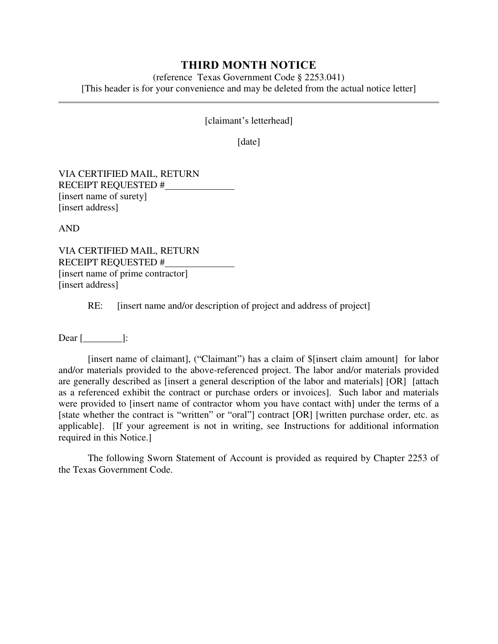## **THIRD MONTH NOTICE**

(reference Texas Government Code § 2253.041) [This header is for your convenience and may be deleted from the actual notice letter]

[claimant's letterhead]

[date]

VIA CERTIFIED MAIL, RETURN RECEIPT REQUESTED # [insert name of surety] [insert address]

AND

VIA CERTIFIED MAIL, RETURN RECEIPT REQUESTED # [insert name of prime contractor] [insert address]

RE: [insert name and/or description of project and address of project]

Dear [\_\_\_\_\_\_\_\_]:

[insert name of claimant], ("Claimant") has a claim of \$[insert claim amount] for labor and/or materials provided to the above-referenced project. The labor and/or materials provided are generally described as [insert a general description of the labor and materials] [OR] [attach as a referenced exhibit the contract or purchase orders or invoices]. Such labor and materials were provided to [insert name of contractor whom you have contact with] under the terms of a [state whether the contract is "written" or "oral"] contract [OR] [written purchase order, etc. as applicable]. [If your agreement is not in writing, see Instructions for additional information required in this Notice.]

The following Sworn Statement of Account is provided as required by Chapter 2253 of the Texas Government Code.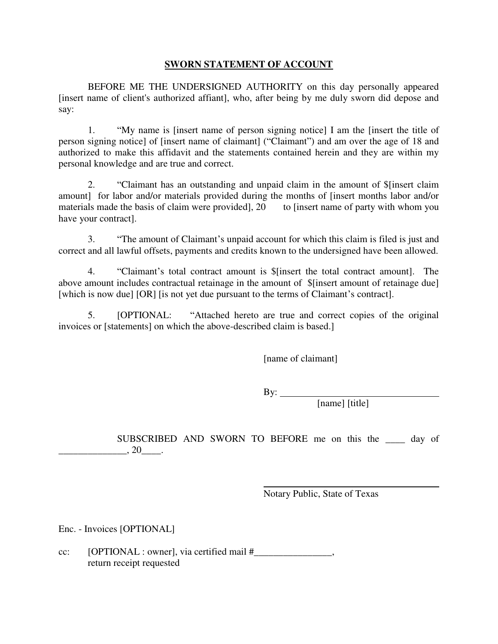## **SWORN STATEMENT OF ACCOUNT**

BEFORE ME THE UNDERSIGNED AUTHORITY on this day personally appeared [insert name of client's authorized affiant], who, after being by me duly sworn did depose and say:

1. "My name is [insert name of person signing notice] I am the [insert the title of person signing notice] of [insert name of claimant] ("Claimant") and am over the age of 18 and authorized to make this affidavit and the statements contained herein and they are within my personal knowledge and are true and correct.

2. "Claimant has an outstanding and unpaid claim in the amount of \$[insert claim amount] for labor and/or materials provided during the months of [insert months labor and/or materials made the basis of claim were provided], 20 to [insert name of party with whom you have your contract].

3. "The amount of Claimant's unpaid account for which this claim is filed is just and correct and all lawful offsets, payments and credits known to the undersigned have been allowed.

4. "Claimant's total contract amount is \$[insert the total contract amount]. The above amount includes contractual retainage in the amount of \$[insert amount of retainage due] [which is now due] [OR] [is not yet due pursuant to the terms of Claimant's contract].

5. [OPTIONAL: "Attached hereto are true and correct copies of the original invoices or [statements] on which the above-described claim is based.]

[name of claimant]

By:

[name] [title]

SUBSCRIBED AND SWORN TO BEFORE me on this the day of  $, 20$ .

Notary Public, State of Texas

Enc. - Invoices [OPTIONAL]

cc: [OPTIONAL : owner], via certified mail #\_\_\_\_\_\_\_\_\_\_\_\_\_\_\_\_, return receipt requested